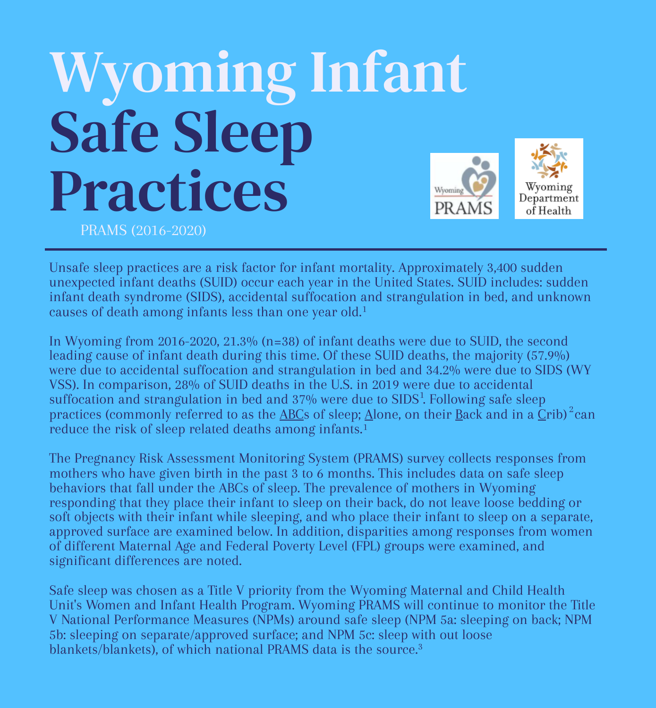# Wyoming Infant Safe Sleep Practices Wyoming PRAMS (2016-2020)





Unsafe sleep practices are a risk factor for infant mortality. Approximately 3,400 sudden unexpected infant deaths (SUID) occur each year in the United States. SUID includes: sudden infant death syndrome (SIDS), accidental suffocation and strangulation in bed, and unknown causes of death among infants less than one year old. 1

In Wyoming from 2016-2020, 21.3% (n=38) of infant deaths were due to SUID, the second leading cause of infant death during this time. Of these SUID deaths, the majority (57.9%) were due to accidental suffocation and strangulation in bed and 34.2% were due to SIDS (WY VSS). In comparison, 28% of SUID deaths in the U.S. in 2019 were due to accidental suffocation and strangulation in bed and  $37\%$  were due to SIDS<sup>1</sup>. Following safe sleep practices (commonly referred to as the <u>ABC</u>s of sleep; <u>A</u>lone, on their <u>B</u>ack and in a  $\bar{\text{C}}$ rib)  $^2$ can reduce the risk of sleep related deaths among infants.<sup>1</sup>

The Pregnancy Risk Assessment Monitoring System (PRAMS) survey collects responses from mothers who have given birth in the past 3 to 6 months. This includes data on safe sleep behaviors that fall under the ABCs of sleep. The prevalence of mothers in Wyoming responding that they place their infant to sleep on their back, do not leave loose bedding or soft objects with their infant while sleeping, and who place their infant to sleep on a separate, approved surface are examined below. In addition, disparities among responses from women of different Maternal Age and Federal Poverty Level (FPL) groups were examined, and significant differences are noted.

Safe sleep was chosen as a Title V priority from the Wyoming Maternal and Child Health Unit's Women and Infant Health Program. Wyoming PRAMS will continue to monitor the Title V National Performance Measures (NPMs) around safe sleep (NPM 5a: sleeping on back; NPM 5b: sleeping on separate/approved surface; and NPM 5c: sleep with out loose blankets/blankets), of which national PRAMS data is the source. 3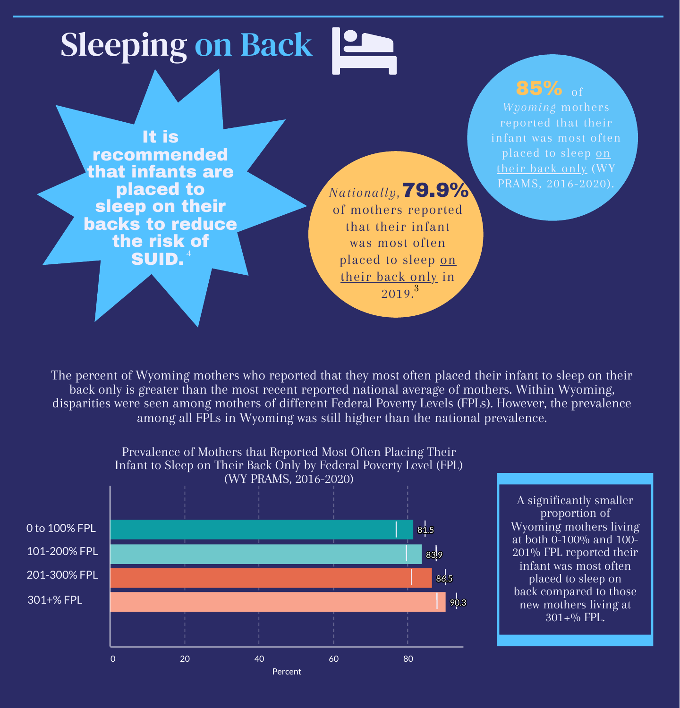## Sleeping on Back | 2

It is recommended that infants are placed to sleep on their backs to reduce the risk of SUID.<sup>4</sup>

85% of *Wyoming* mothers reported that their infant was most often placed to sleep on their back only (WY PRAMS, 2016-2020).

### *Nationally*, 79.9%

A significantly smaller proportion of Wyoming mothers living at both 0-100% and 100- 201% FPL reported their infant was most often placed to sleep on back compared to those new mothers living at  $301+%$  FPL.

The percent of Wyoming mothers who reported that they most often placed their infant to sleep on their back only is greater than the most recent reported national average of mothers. Within Wyoming, disparities were seen among mothers of different Federal Poverty Levels (FPLs). However, the prevalence among all FPLs in Wyoming was still higher than the national prevalence.

of mothers reported that their infant was most often placed to sleep <u>on</u> their back only in 2019. 3



Prevalence of Mothers that Reported Most Often Placing Their Infant to Sleep on Their Back Only by Federal Poverty Level (FPL) (WY PRAMS, 2016-2020)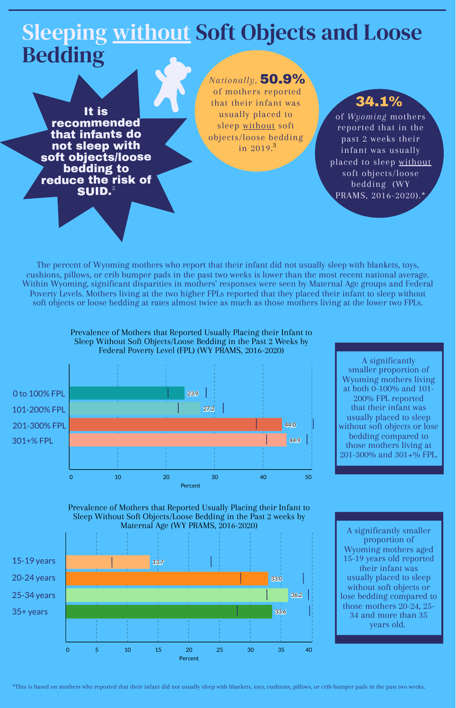### Sleeping without Soft Objects and Loose Bedding

#### \*This is based on mothers who reported that their infant did not usually sleep with blankets, toys, cushions, pillows, or crib bumper pads in the past two weeks.

It is recommended that infants do not sleep with soft objects/loose bedding to reduce the risk of SUID. 5

#### The percent of Wyoming mothers who report that their infant did not usually sleep with blankets, toys, cushions, pillows, or crib bumper pads in the past two weeks is lower than the most recent national average. Within Wyoming, significant disparities in mothers' responses were seen by Maternal Age groups and Federal Poverty Levels. Mothers living at the two higher FPLs reported that they placed their infant to sleep without soft objects or loose bedding at rates almost twice as much as those mothers living at the lower two FPLs.

*Nationally,* 50.9%

of *Wyoming* mothers reported that in the past 2 weeks their infant was usually placed to sleep without soft objects/loose bedding (WY PRAMS, 2016-2020).\* 34.1%

of mothers reported that their infant was usually placed to sleep without soft objects/loose bedding in 2019. 3

> A significantly smaller proportion of Wyoming mothers living at both 0-100% and 101- 200% FPL reported that their infant was usually placed to sleep without soft objects or lose bedding compared to those mothers living at 201-300% and 301+% FPL.





Prevalence of Mothers that Reported Usually Placing their Infant to Sleep Without Soft Objects/Loose Bedding in the Past 2 Weeks by Federal Poverty Level (FPL) (WY PRAMS, 2016-2020)



Prevalence of Mothers that Reported Usually Placing their Infant to Sleep Without Soft Objects/Loose Bedding in the Past 2 weeks by Maternal Age (WY PRAMS, 2016-2020)

A significantly smaller proportion of Wyoming mothers aged 15-19 years old reported their infant was usually placed to sleep without soft objects or lose bedding compared to those mothers 20-24, 25- 34 and more than 35 years old.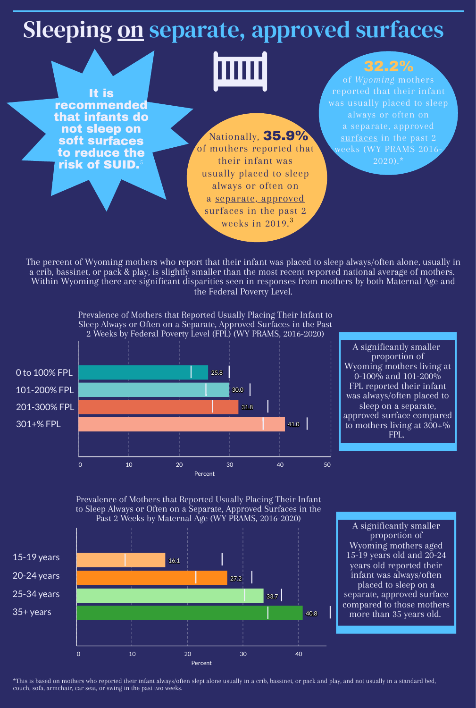### Sleeping on separate, approved surfaces

It is recommended that infants do not sleep on soft surfaces to reduce the risk of SUID. 5

\*This is based on mothers who reported their infant always/often slept alone usually in a crib, bassinet, or pack and play, and not usually in a standard bed, couch, sofa, armchair, car seat, or swing in the past two weeks.

of *Wyoming* mothers reported that their infant was usually placed to sleep always or often on a separate, approved surfaces in the past 2 weeks (WY PRAMS 2016- 2020).\*

### 32.2%

The percent of Wyoming mothers who report that their infant was placed to sleep always/often alone, usually in a crib, bassinet, or pack & play, is slightly smaller than the most recent reported national average of mothers. Within Wyoming there are significant disparities seen in responses from mothers by both Maternal Age and the Federal Poverty Level.

Nationally, 35.9% of mothers reported that their infant was usually placed to sleep always or often on a separate, approved surfaces in the past 2 weeks in 2019. 3

> A significantly smaller proportion of Wyoming mothers living at 0-100% and 101-200% FPL reported their infant was always/often placed to sleep on a separate, approved surface compared to mothers living at 300+% FPL.

Percent





Prevalence of Mothers that Reported Usually Placing Their Infant to Sleep Always or Often on a Separate, Approved Surfaces in the Past 2 Weeks by Maternal Age (WY PRAMS, 2016-2020)

A significantly smaller proportion of Wyoming mothers aged 15-19 years old and 20-24 years old reported their infant was always/often placed to sleep on a separate, approved surface compared to those mothers more than 35 years old.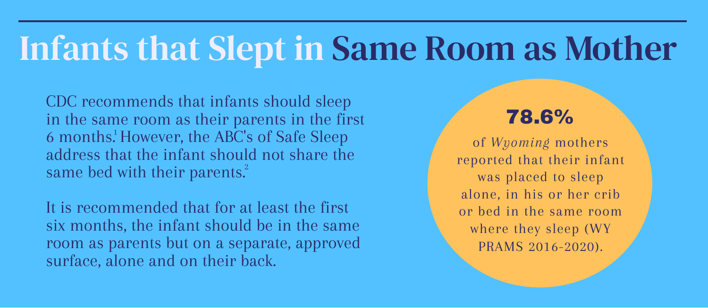# Infants that Slept in Same Room as Mother

CDC recommends that infants should sleep in the same room as their parents in the first 6 months.<sup>1</sup> However, the ABC's of Safe Sleep address that the infant should not share the same bed with their parents.<sup>2</sup>

.<br>مە of *Wyoming* mothers reported that their infant was placed to sleep alone, in his or her crib or bed in the same room where they sleep (WY PRAMS 2016-2020).

It is recommended that for at least the first six months, the infant should be in the same room as parents but on a separate, approved surface, alone and on their back.

### 78.6%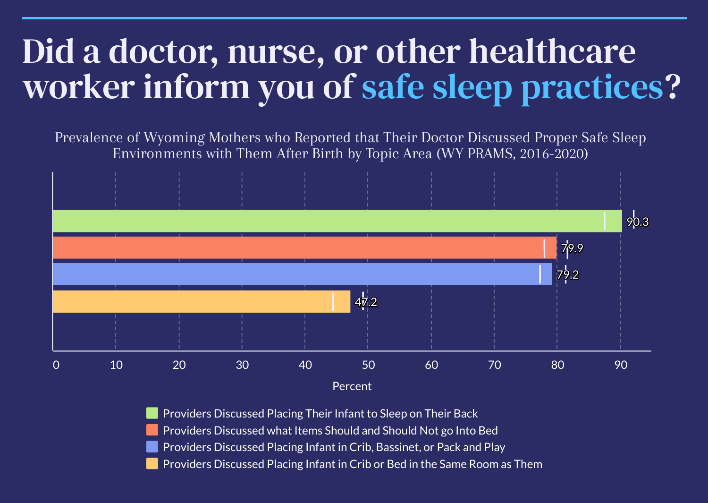# Did a doctor, nurse, or other healthcare worker inform you of safe sleep practices?

Percent

**Providers Discussed Placing Their Infant to Sleep on Their Back Providers Discussed what Items Should and Should Not go Into Bed Providers Discussed Placing Infant in Crib, Bassinet, or Pack and Play Providers Discussed Placing Infant in Crib or Bed in the Same Room as Them** 



Prevalence of Wyoming Mothers who Reported that Their Doctor Discussed Proper Safe Sleep Environments with Them After Birth by Topic Area (WY PRAMS, 2016-2020)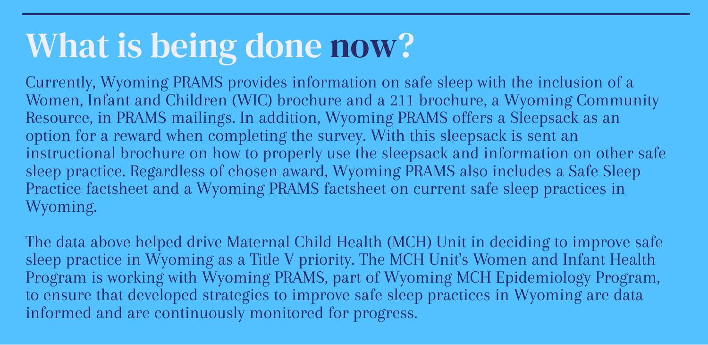### What is being done now?

Currently, Wyoming PRAMS provides information on safe sleep with the inclusion of a Women, Infant and Children (WIC) brochure and a 211 brochure, a Wyoming Community Resource, in PRAMS mailings. In addition, Wyoming PRAMS offers a Sleepsack as an option for a reward when completing the survey. With this sleepsack is sent an instructional brochure on how to properly use the sleepsack and information on other safe sleep practice. Regardless of chosen award, Wyoming PRAMS also includes a Safe Sleep Practice factsheet and a Wyoming PRAMS factsheet on current safe sleep practices in Wyoming.

The data above helped drive Maternal Child Health (MCH) Unit in deciding to improve safe sleep practice in Wyoming as a Title V priority. The MCH Unit's Women and Infant Health Program is working with Wyoming PRAMS, part of Wyoming MCH Epidemiology Program, to ensure that developed strategies to improve safe sleep practices in Wyoming are data informed and are continuously monitored for progress.